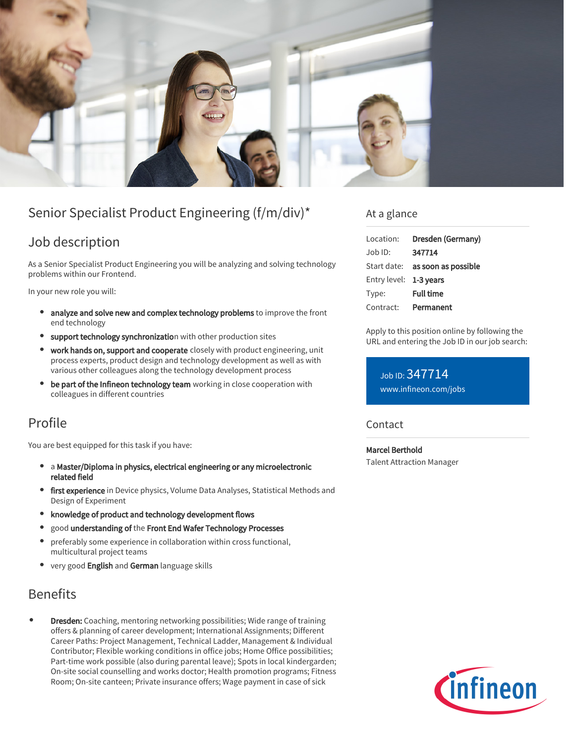

# Senior Specialist Product Engineering (f/m/div)\*

# Job description

As a Senior Specialist Product Engineering you will be analyzing and solving technology problems within our Frontend.

In your new role you will:

- analyze and solve new and complex technology problems to improve the front end technology
- support technology synchronization with other production sites
- work hands on, support and cooperate closely with product engineering, unit process experts, product design and technology development as well as with various other colleagues along the technology development process
- $\bullet$ be part of the Infineon technology team working in close cooperation with colleagues in different countries

# Profile

You are best equipped for this task if you have:

- a Master/Diploma in physics, electrical engineering or any microelectronic  $\bullet$ related field
- **first experience** in Device physics, Volume Data Analyses, Statistical Methods and Design of Experiment
- knowledge of product and technology development flows
- good understanding of the Front End Wafer Technology Processes
- preferably some experience in collaboration within cross functional, multicultural project teams
- very good English and German language skills

## **Benefits**

Dresden: Coaching, mentoring networking possibilities; Wide range of training offers & planning of career development; International Assignments; Different Career Paths: Project Management, Technical Ladder, Management & Individual Contributor; Flexible working conditions in office jobs; Home Office possibilities; Part-time work possible (also during parental leave); Spots in local kindergarden; On-site social counselling and works doctor; Health promotion programs; Fitness Room; On-site canteen; Private insurance offers; Wage payment in case of sick

### At a glance

| Location:              | Dresden (Germany)                      |
|------------------------|----------------------------------------|
| Job ID:                | 347714                                 |
|                        | Start date: <b>as soon as possible</b> |
| Entry level: 1-3 years |                                        |
| Type:                  | <b>Full time</b>                       |
| Contract:              | Permanent                              |

Apply to this position online by following the URL and entering the Job ID in our job search:

Job ID: 347714 [www.infineon.com/jobs](https://www.infineon.com/jobs)

#### **Contact**

Marcel Berthold Talent Attraction Manager